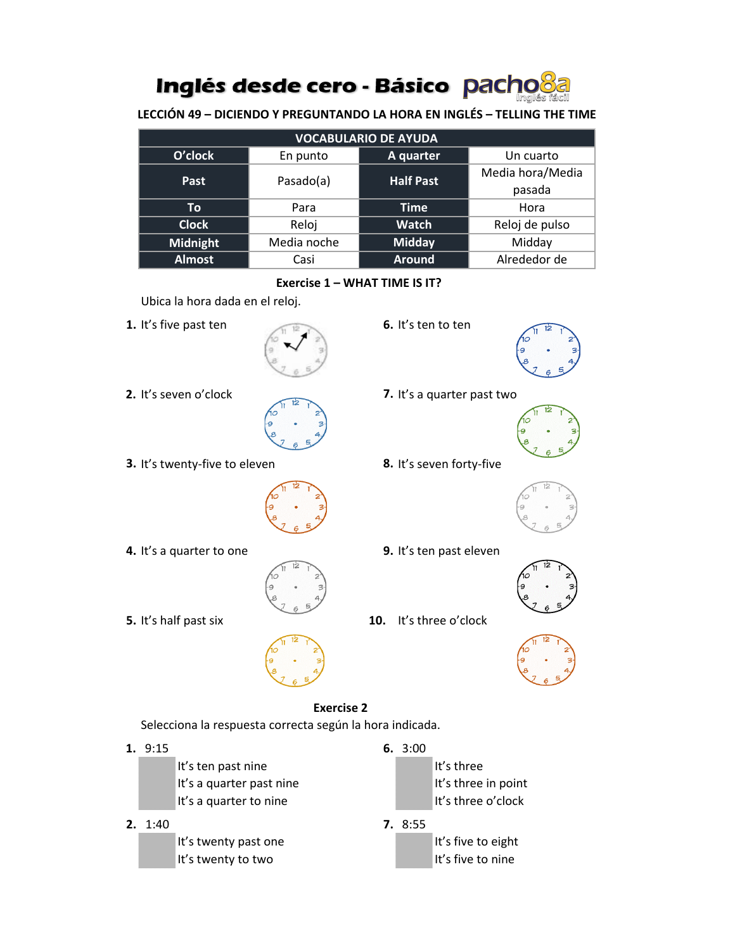# Inglés desde cero - Básico pacho

**LECCIÓN 49 – DICIENDO Y PREGUNTANDO LA HORA EN INGLÉS – TELLING THE TIME**

| <b>VOCABULARIO DE AYUDA</b> |             |                  |                  |
|-----------------------------|-------------|------------------|------------------|
| O'clock                     | En punto    | A quarter        | Un cuarto        |
| Past                        | Pasado(a)   | <b>Half Past</b> | Media hora/Media |
|                             |             |                  | pasada           |
| То                          | Para        | <b>Time</b>      | Hora             |
| <b>Clock</b>                | Reloj       | <b>Watch</b>     | Reloj de pulso   |
| <b>Midnight</b>             | Media noche | <b>Midday</b>    | Midday           |
| <b>Almost</b>               | Casi        | <b>Around</b>    | Alrededor de     |

#### **Exercise 1 – WHAT TIME IS IT?**

Ubica la hora dada en el reloj.

**1.** It's five past ten **6.** It's ten to ten



**2.** It's seven o'clock **7.** It's a quarter past two



**3.** It's twenty-five to eleven **8.** It's seven forty-five



- **4.** It's a quarter to one **9.** It's ten past eleven
	-
- 



- 
- **5.** It's half past six **10.** It's three o'clock



#### **Exercise 2**

Selecciona la respuesta correcta según la hora indicada.

### **1.** 9:15 **6.** 3:00

It's ten past nine It's three It's a quarter past nine It's three in point It's a quarter to nine It's three o'clock

## **2.** 1:40 **7.** 8:55

It's twenty past one It's five to eight It's twenty to two It's five to nine

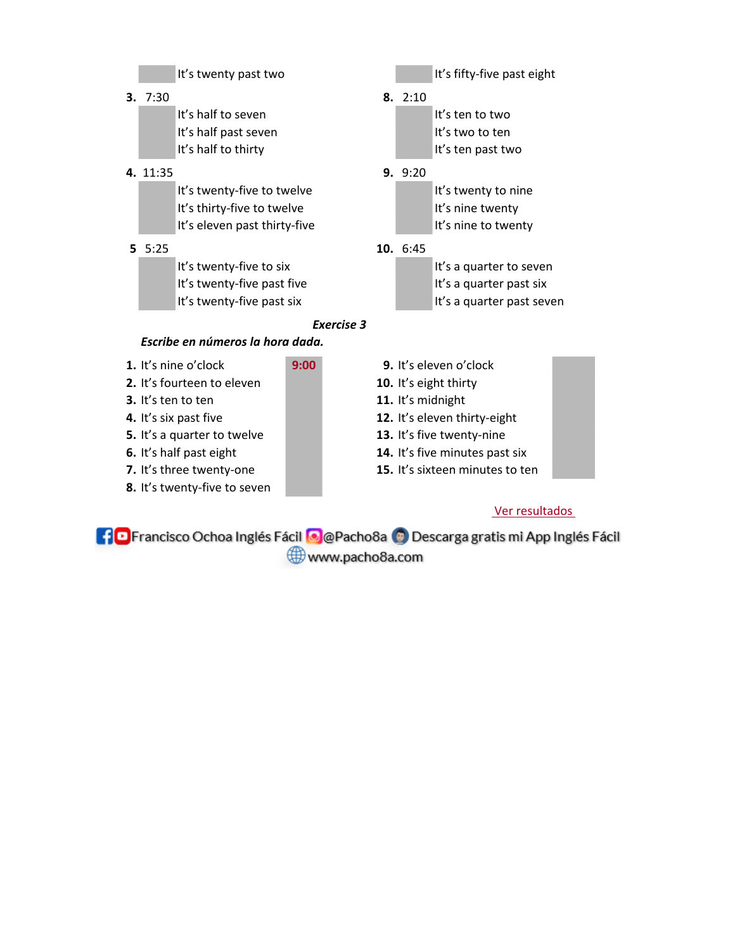### It's twenty past two It's fifty-five past eight

**3.** 7:30 **8.** 2:10

It's half to seven It's ten to two It's half past seven It's two to ten It's half to thirty It's ten past two

#### **4.** 11:35 **9.** 9:20

It's twenty-five to twelve It's twenty to nine It's thirty-five to twelve It's nine twenty It's eleven past thirty-five It's nine to twenty

It's twenty-five to six It's a quarter to seven It's twenty-five past five It's a quarter past six

### **5** 5:25 **10.** 6:45

It's twenty-five past six It's a quarter past seven

### *Exercise 3*

### *Escribe en números la hora dada.*

- 
- **2.** It's fourteen to eleven **10.** It's eight thirty
- 
- 
- **5.** It's a quarter to twelve **13.** It's five twenty-nine
- 
- 
- **8.** It's twenty-five to seven
- **1.** It's nine o'clock **9:00 9.** It's eleven o'clock
	-
- **3.** It's ten to ten **11.** It's midnight
- **4.** It's six past five **12.** It's eleven thirty-eight
	-
- **6.** It's half past eight **14.** It's five minutes past six
- **7.** It's three twenty-one **15.** It's sixteen minutes to ten

## Ver resultados

**[10** Francisco Ochoa Inglés Fácil **@** @ Pacho8a @ Descarga gratis mi App Inglés Fácil www.pacho8a.com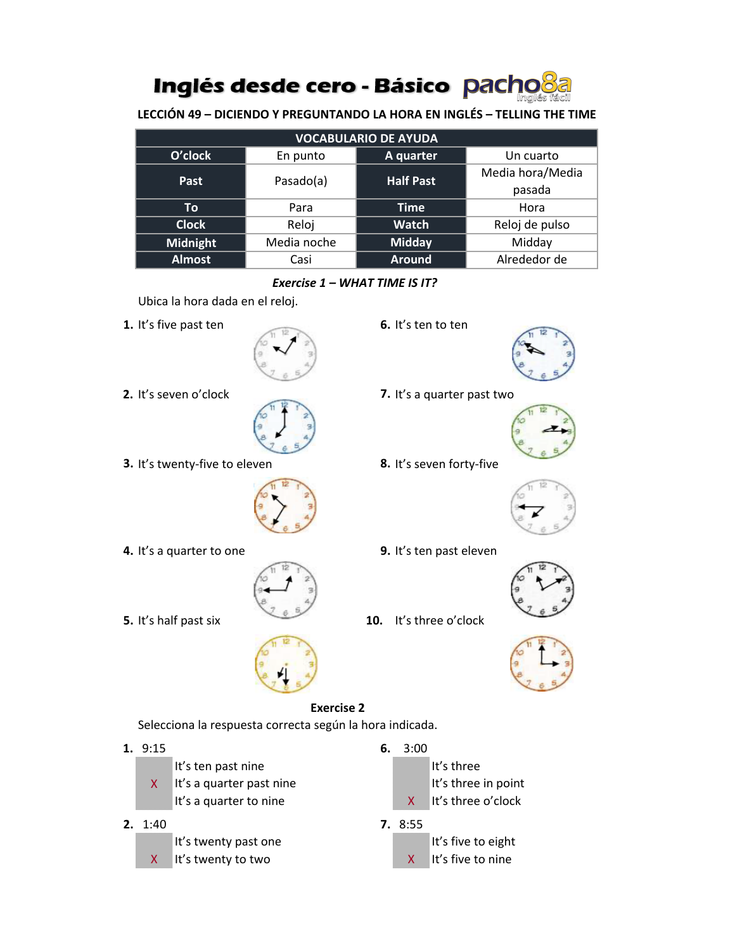# Inglés desde cero - Básico pacho

**LECCIÓN 49 – DICIENDO Y PREGUNTANDO LA HORA EN INGLÉS – TELLING THE TIME**

| <b>VOCABULARIO DE AYUDA</b> |             |                  |                  |
|-----------------------------|-------------|------------------|------------------|
| O'clock                     | En punto    | A quarter        | Un cuarto        |
| Past                        | Pasado(a)   | <b>Half Past</b> | Media hora/Media |
|                             |             |                  | pasada           |
| To                          | Para        | <b>Time</b>      | Hora             |
| <b>Clock</b>                | Reloj       | <b>Watch</b>     | Reloj de pulso   |
| Midnight                    | Media noche | <b>Midday</b>    | Midday           |
| <b>Almost</b>               | Casi        | <b>Around</b>    | Alrededor de     |

### *Exercise 1 – WHAT TIME IS IT?*

Ubica la hora dada en el reloj.

**1.** It's five past ten **6.** It's ten to ten



**2.** It's seven o'clock **7.** It's a quarter past two



**3.** It's twenty-five to eleven **8.** It's seven forty-five



**4.** It's a quarter to one **9.** It's ten past eleven





**5.** It's half past six **10.** It's three o'clock



### **Exercise 2**

Selecciona la respuesta correcta según la hora indicada.

**1.** 9:15 **6.** 3:00 It's ten past nine It's three  $X$  It's a quarter past nine It's three in point It's a quarter to nine  $X \cup X$  It's three o'clock **2.** 1:40 **7.** 8:55 It's twenty past one It's five to eight X It's twenty to two X It's five to nine